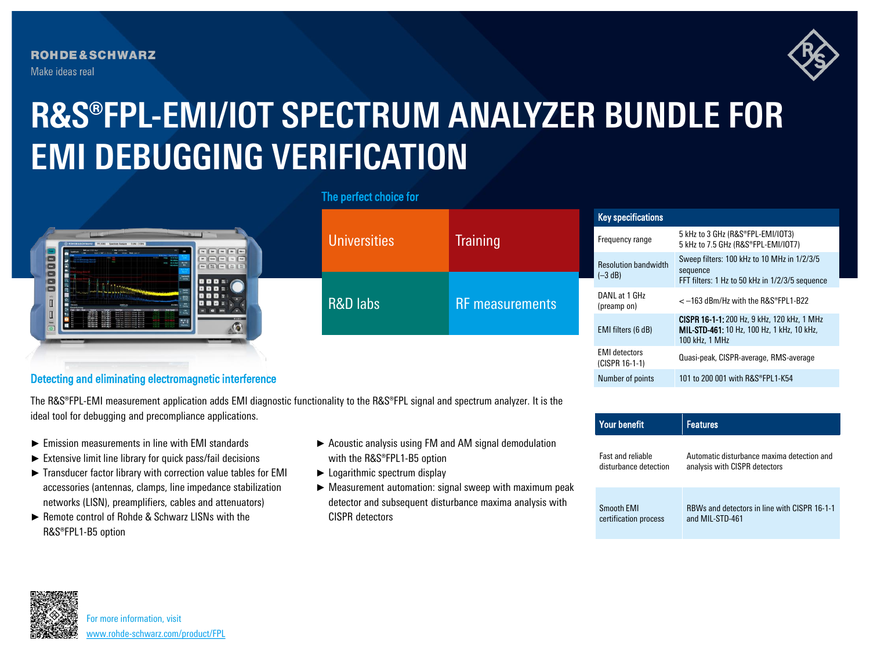**ROHDE&SCHWARZ** Make ideas real



## **R&S®FPL-EMI/IOT SPECTRUM ANALYZER BUNDLE FOR EMI DEBUGGING VERIFICATION**



|                                                                                                       |                     |                                           | <b>Key specifications</b>                |                                                                                                                           |
|-------------------------------------------------------------------------------------------------------|---------------------|-------------------------------------------|------------------------------------------|---------------------------------------------------------------------------------------------------------------------------|
| o<br><b>CONTRACTOR</b><br>$\blacksquare$<br>000 =<br>0<br>000 =<br>000 :<br>0801<br><b>COMMERCIAL</b> | <b>Universities</b> | <b>Training</b><br><b>RF</b> measurements | Frequency range                          | 5 kHz to 3 GHz (R&S®FPL-EMI/IOT3)<br>5 kHz to 7.5 GHz (R&S®FPL-EMI/IOT7)                                                  |
|                                                                                                       |                     |                                           | <b>Resolution bandwidth</b><br>$(-3 dB)$ | Sweep filters: 100 kHz to 10 MHz in 1/2/3/5<br>sequence<br>FFT filters: 1 Hz to 50 kHz in 1/2/3/5 sequence                |
|                                                                                                       | <b>R&amp;D labs</b> |                                           | DANL at 1 GHz<br>(preamp on)             | $<-163$ dBm/Hz with the R&S®FPL1-B22                                                                                      |
|                                                                                                       |                     |                                           | EMI filters (6 dB)                       | <b>CISPR 16-1-1:</b> 200 Hz, 9 kHz, 120 kHz, 1 MHz<br><b>MIL-STD-461:</b> 10 Hz, 100 Hz, 1 kHz, 10 kHz,<br>100 kHz. 1 MHz |
|                                                                                                       |                     |                                           | <b>EMI</b> detectors<br>(CISPR 16-1-1)   | Quasi-peak, CISPR-average, RMS-average                                                                                    |

## Detecting and eliminating electromagnetic interference

The R&S®FPL-EMI measurement application adds EMI diagnostic functionality to the R&S®FPL signal and spectrum analyzer. It is the ideal tool for debugging and precompliance applications.

- ► Emission measurements in line with EMI standards
- ► Extensive limit line library for quick pass/fail decisions
- ► Transducer factor library with correction value tables for EMI accessories (antennas, clamps, line impedance stabilization networks (LISN), preamplifiers, cables and attenuators)
- ► Remote control of Rohde & Schwarz LISNs with the R&S®FPL1-B5 option
- ► Acoustic analysis using FM and AM signal demodulation with the R&S®FPL1-B5 option
- ► Logarithmic spectrum display
- ► Measurement automation: signal sweep with maximum peak detector and subsequent disturbance maxima analysis with CISPR detectors

| <b>Your benefit</b>      | <b>Features</b>                              |
|--------------------------|----------------------------------------------|
| <b>Fast and reliable</b> | Automatic disturbance maxima detection and   |
| disturbance detection    | analysis with CISPR detectors                |
| Smooth EMI               | RBWs and detectors in line with CISPR 16-1-1 |
| certification process    | and MIL-STD-461                              |

Number of points 101 to 200 001 with R&S®FPL1-K54